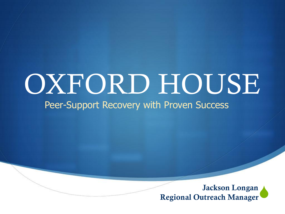# OXFORD HOUSE

Peer-Support Recovery with Proven Success

 $\blacklozenge$ Jackson Longan Regional Outreach Manager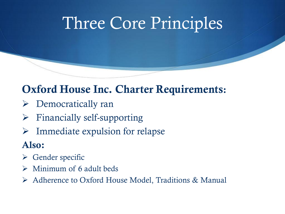### Three Core Principles

#### Oxford House Inc. Charter Requirements:

- ➢ Democratically ran
- ➢ Financially self-supporting
- $\triangleright$  Immediate expulsion for relapse

#### Also:

- $\triangleright$  Gender specific
- $\triangleright$  Minimum of 6 adult beds
- ➢ Adherence to Oxford House Model, Traditions & Manual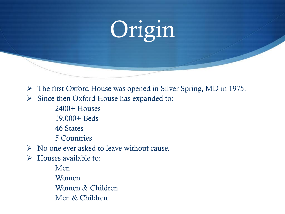# Origin

➢ The first Oxford House was opened in Silver Spring, MD in 1975.

- ➢ Since then Oxford House has expanded to:
	- 2400+ Houses
	- 19,000+ Beds
	- 46 States
	- 5 Countries
- ➢ No one ever asked to leave without cause.
- $\triangleright$  Houses available to:
	- Men Women Women & Children Men & Children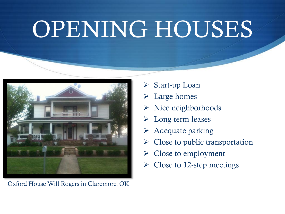# OPENING HOUSES



Oxford House Will Rogers in Claremore, OK

- ➢ Start-up Loan
- ➢ Large homes
- ➢ Nice neighborhoods
- ➢ Long-term leases
- ➢ Adequate parking
- $\triangleright$  Close to public transportation
- $\triangleright$  Close to employment
- $\triangleright$  Close to 12-step meetings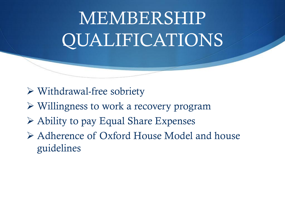## MEMBERSHIP QUALIFICATIONS

- ➢ Withdrawal-free sobriety
- ➢ Willingness to work a recovery program
- ➢ Ability to pay Equal Share Expenses
- ➢ Adherence of Oxford House Model and house guidelines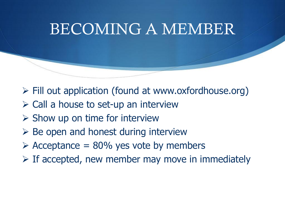### BECOMING A MEMBER

- ➢ Fill out application (found at www.oxfordhouse.org)
- $\triangleright$  Call a house to set-up an interview
- $\triangleright$  Show up on time for interview
- ➢ Be open and honest during interview
- $\geq$  Acceptance = 80% yes vote by members
- $\triangleright$  If accepted, new member may move in immediately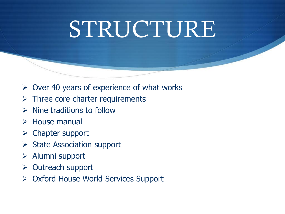## STRUCTURE

- $\triangleright$  Over 40 years of experience of what works
- $\triangleright$  Three core charter requirements
- $\triangleright$  Nine traditions to follow
- ➢ House manual
- ➢ Chapter support
- ➢ State Association support
- ➢ Alumni support
- ➢ Outreach support
- ➢ Oxford House World Services Support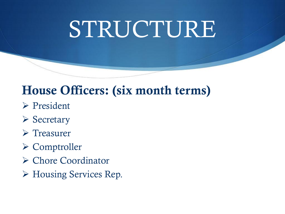# STRUCTURE

#### House Officers: (six month terms)

- ➢ President
- ➢ Secretary
- ➢ Treasurer
- ➢ Comptroller
- ➢ Chore Coordinator
- ➢ Housing Services Rep.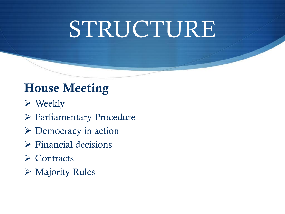# STRUCTURE

#### House Meeting

- ➢ Weekly
- ➢ Parliamentary Procedure
- ➢ Democracy in action
- ➢ Financial decisions
- ➢ Contracts
- ➢ Majority Rules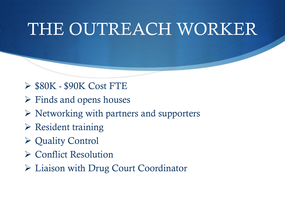### THE OUTREACH WORKER

- ➢ \$80K \$90K Cost FTE
- $\triangleright$  Finds and opens houses
- ➢ Networking with partners and supporters
- ➢ Resident training
- ➢ Quality Control
- ➢ Conflict Resolution
- ➢ Liaison with Drug Court Coordinator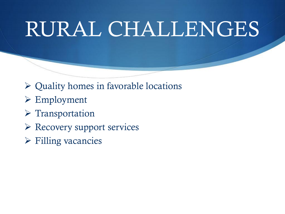## RURAL CHALLENGES

- ➢ Quality homes in favorable locations
- ➢ Employment
- ➢ Transportation
- ➢ Recovery support services
- ➢ Filling vacancies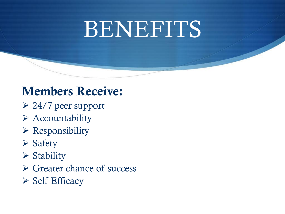## BENEFITS

#### Members Receive:

- ➢ 24/7 peer support
- ➢ Accountability
- $\triangleright$  Responsibility
- ➢ Safety
- ➢ Stability
- ➢ Greater chance of success
- ➢ Self Efficacy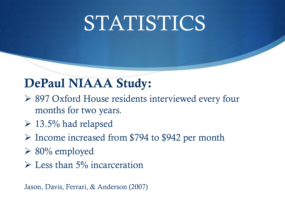## STATISTICS

#### DePaul NIAAA Study:

- ➢ 897 Oxford House residents interviewed every four months for two years.
- $\geq 13.5\%$  had relapsed
- ➢ Income increased from \$794 to \$942 per month
- ➢ 80% employed
- $\triangleright$  Less than 5% incarceration

Jason, Davis, Ferrari, & Anderson (2007)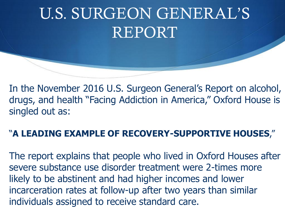### U.S. SURGEON GENERAL'S REPORT

In the November 2016 U.S. Surgeon General's Report on alcohol, drugs, and health "Facing Addiction in America," Oxford House is singled out as:

#### "**A LEADING EXAMPLE OF RECOVERY-SUPPORTIVE HOUSES**,"

The report explains that people who lived in Oxford Houses after severe substance use disorder treatment were 2-times more likely to be abstinent and had higher incomes and lower incarceration rates at follow-up after two years than similar individuals assigned to receive standard care.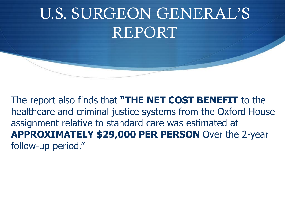### U.S. SURGEON GENERAL'S REPORT

The report also finds that **"THE NET COST BENEFIT** to the healthcare and criminal justice systems from the Oxford House assignment relative to standard care was estimated at **APPROXIMATELY \$29,000 PER PERSON** Over the 2-year follow-up period."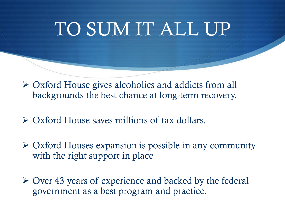## TO SUM IT ALL UP

➢ Oxford House gives alcoholics and addicts from all backgrounds the best chance at long-term recovery.

➢ Oxford House saves millions of tax dollars.

➢ Oxford Houses expansion is possible in any community with the right support in place

➢ Over 43 years of experience and backed by the federal government as a best program and practice.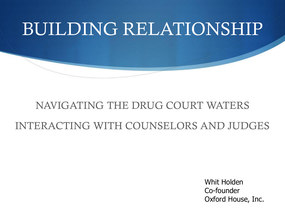## BUILDING RELATIONSHIP

#### NAVIGATING THE DRUG COURT WATERS INTERACTING WITH COUNSELORS AND JUDGES

Whit Holden Co-founder Oxford House, Inc.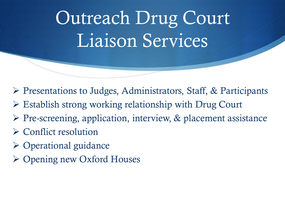Outreach Drug Court Liaison Services

- ➢ Presentations to Judges, Administrators, Staff, & Participants
- ➢ Establish strong working relationship with Drug Court
- ➢ Pre-screening, application, interview, & placement assistance
- ➢ Conflict resolution
- ➢ Operational guidance
- ➢ Opening new Oxford Houses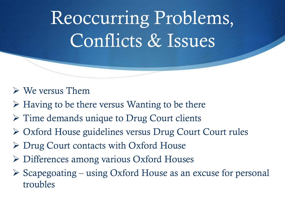Reoccurring Problems, Conflicts & Issues

#### $\triangleright$  We versus Them

- ➢ Having to be there versus Wanting to be there
- ➢ Time demands unique to Drug Court clients
- ➢ Oxford House guidelines versus Drug Court Court rules
- ➢ Drug Court contacts with Oxford House
- ➢ Differences among various Oxford Houses
- $\triangleright$  Scapegoating using Oxford House as an excuse for personal troubles